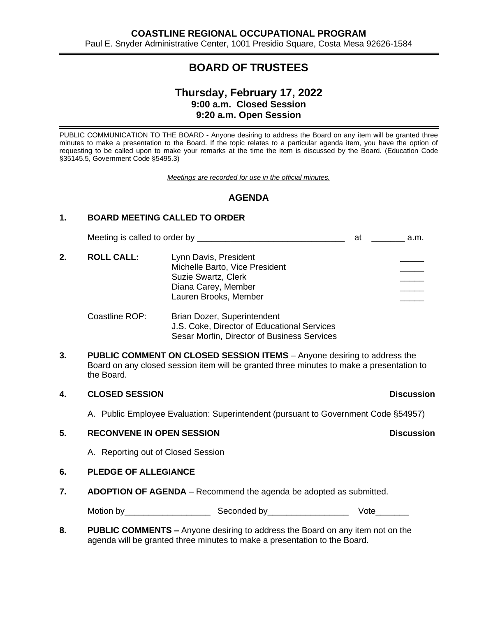# **BOARD OF TRUSTEES**

# **Thursday, February 17, 2022 9:00 a.m. Closed Session 9:20 a.m. Open Session**

PUBLIC COMMUNICATION TO THE BOARD - Anyone desiring to address the Board on any item will be granted three minutes to make a presentation to the Board. If the topic relates to a particular agenda item, you have the option of requesting to be called upon to make your remarks at the time the item is discussed by the Board. (Education Code §35145.5, Government Code §5495.3)

*Meetings are recorded for use in the official minutes.*

## **AGENDA**

### **1. BOARD MEETING CALLED TO ORDER**

Meeting is called to order by \_\_\_\_\_\_\_\_\_\_\_\_\_\_\_\_\_\_\_\_\_\_\_\_\_\_\_\_\_\_\_ at \_\_\_\_\_\_\_ a.m.

2. **ROLL CALL:** Lynn Davis, President Michelle Barto, Vice President Suzie Swartz, Clerk Diana Carey, Member Lauren Brooks, Member

#### Coastline ROP: Brian Dozer, Superintendent J.S. Coke, Director of Educational Services Sesar Morfin, Director of Business Services

**3. PUBLIC COMMENT ON CLOSED SESSION ITEMS** – Anyone desiring to address the Board on any closed session item will be granted three minutes to make a presentation to the Board.

### **4. CLOSED SESSION Discussion**

### A. Public Employee Evaluation: Superintendent (pursuant to Government Code §54957)

### **5. RECONVENE IN OPEN SESSION Discussion**

A. Reporting out of Closed Session

### **6. PLEDGE OF ALLEGIANCE**

**7. ADOPTION OF AGENDA** – Recommend the agenda be adopted as submitted.

Motion by Geconded by The Seconded by The Vote

**8. PUBLIC COMMENTS –** Anyone desiring to address the Board on any item not on the agenda will be granted three minutes to make a presentation to the Board.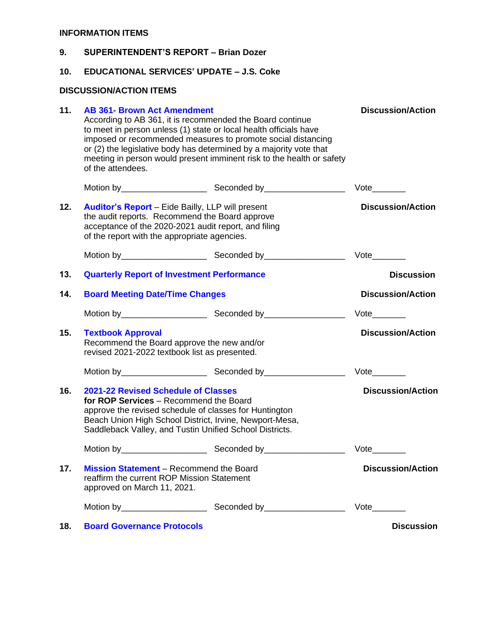# **INFORMATION ITEMS**

| 9.  |                                                                                                                                                                                                                                                                                                                                                                                                          | <b>SUPERINTENDENT'S REPORT - Brian Dozer</b> |                             |  |  |
|-----|----------------------------------------------------------------------------------------------------------------------------------------------------------------------------------------------------------------------------------------------------------------------------------------------------------------------------------------------------------------------------------------------------------|----------------------------------------------|-----------------------------|--|--|
| 10. | <b>EDUCATIONAL SERVICES' UPDATE - J.S. Coke</b>                                                                                                                                                                                                                                                                                                                                                          |                                              |                             |  |  |
|     | <b>DISCUSSION/ACTION ITEMS</b>                                                                                                                                                                                                                                                                                                                                                                           |                                              |                             |  |  |
| 11. | <b>AB 361- Brown Act Amendment</b><br>According to AB 361, it is recommended the Board continue<br>to meet in person unless (1) state or local health officials have<br>imposed or recommended measures to promote social distancing<br>or (2) the legislative body has determined by a majority vote that<br>meeting in person would present imminent risk to the health or safety<br>of the attendees. | <b>Discussion/Action</b>                     |                             |  |  |
|     |                                                                                                                                                                                                                                                                                                                                                                                                          |                                              |                             |  |  |
| 12. | <b>Auditor's Report</b> – Eide Bailly, LLP will present<br>the audit reports. Recommend the Board approve<br>acceptance of the 2020-2021 audit report, and filing<br>of the report with the appropriate agencies.                                                                                                                                                                                        |                                              | <b>Discussion/Action</b>    |  |  |
|     |                                                                                                                                                                                                                                                                                                                                                                                                          |                                              | $Vote$ <sub>________</sub>  |  |  |
| 13. | <b>Quarterly Report of Investment Performance</b>                                                                                                                                                                                                                                                                                                                                                        |                                              | <b>Discussion</b>           |  |  |
| 14. | <b>Board Meeting Date/Time Changes</b>                                                                                                                                                                                                                                                                                                                                                                   |                                              | <b>Discussion/Action</b>    |  |  |
|     |                                                                                                                                                                                                                                                                                                                                                                                                          |                                              |                             |  |  |
| 15. | <b>Textbook Approval</b><br>Recommend the Board approve the new and/or<br>revised 2021-2022 textbook list as presented.                                                                                                                                                                                                                                                                                  | <b>Discussion/Action</b>                     |                             |  |  |
|     |                                                                                                                                                                                                                                                                                                                                                                                                          |                                              |                             |  |  |
| 16. | 2021-22 Revised Schedule of Classes<br>for ROP Services - Recommend the Board<br>approve the revised schedule of classes for Huntington<br>Beach Union High School District, Irvine, Newport-Mesa,<br>Saddleback Valley, and Tustin Unified School Districts.                                                                                                                                            |                                              | <b>Discussion/Action</b>    |  |  |
|     |                                                                                                                                                                                                                                                                                                                                                                                                          |                                              | $Vote$ <sub>_________</sub> |  |  |
| 17. | <b>Mission Statement</b> – Recommend the Board<br>reaffirm the current ROP Mission Statement<br>approved on March 11, 2021.                                                                                                                                                                                                                                                                              |                                              | <b>Discussion/Action</b>    |  |  |
|     |                                                                                                                                                                                                                                                                                                                                                                                                          |                                              |                             |  |  |
| 18. | <b>Board Governance Protocols</b>                                                                                                                                                                                                                                                                                                                                                                        |                                              | <b>Discussion</b>           |  |  |